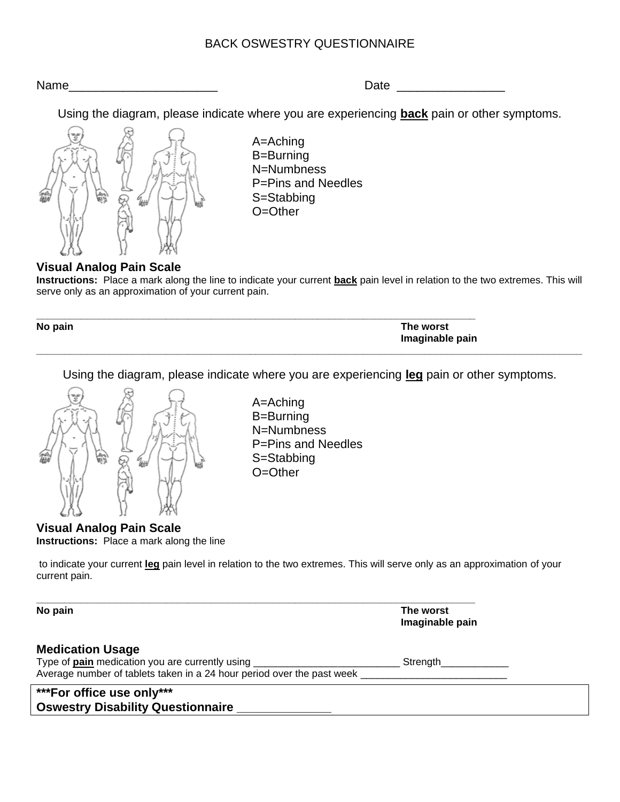# BACK OSWESTRY QUESTIONNAIRE

Name **Name** 

Using the diagram, please indicate where you are experiencing **back** pain or other symptoms.



A=Aching B=Burning N=Numbness P=Pins and Needles S=Stabbing O=Other

## **Visual Analog Pain Scale**

**Instructions:** Place a mark along the line to indicate your current **back** pain level in relation to the two extremes. This will serve only as an approximation of your current pain.

| No pain | The worst       |
|---------|-----------------|
|         | Imaginable pain |
|         |                 |

Using the diagram, please indicate where you are experiencing **leg** pain or other symptoms.



A=Aching B=Burning N=Numbness P=Pins and Needles S=Stabbing O=Other

#### **Visual Analog Pain Scale Instructions:** Place a mark along the line

to indicate your current **leg** pain level in relation to the two extremes. This will serve only as an approximation of your current pain.

**\*\*\*For office use only\*\*\* Oswestry Disability Questionnaire \_\_\_\_\_\_\_\_\_\_\_\_\_\_ \_\_\_\_\_\_\_\_\_\_\_\_\_\_\_\_\_\_\_\_\_\_\_\_\_\_\_\_\_\_\_\_\_\_\_\_\_\_\_\_\_\_\_\_\_\_\_\_\_\_\_\_\_\_\_\_\_\_\_\_\_\_\_\_\_\_\_\_\_\_\_\_\_\_\_\_\_\_ No pain The worst Imaginable pain Medication Usage** Type of **pain** medication you are currently using \_\_\_\_\_\_\_\_\_\_\_\_\_\_\_\_\_\_\_\_\_\_\_\_\_\_ Strength\_\_\_\_\_\_\_\_\_\_\_\_ Average number of tablets taken in a 24 hour period over the past week \_\_\_\_\_\_\_\_\_